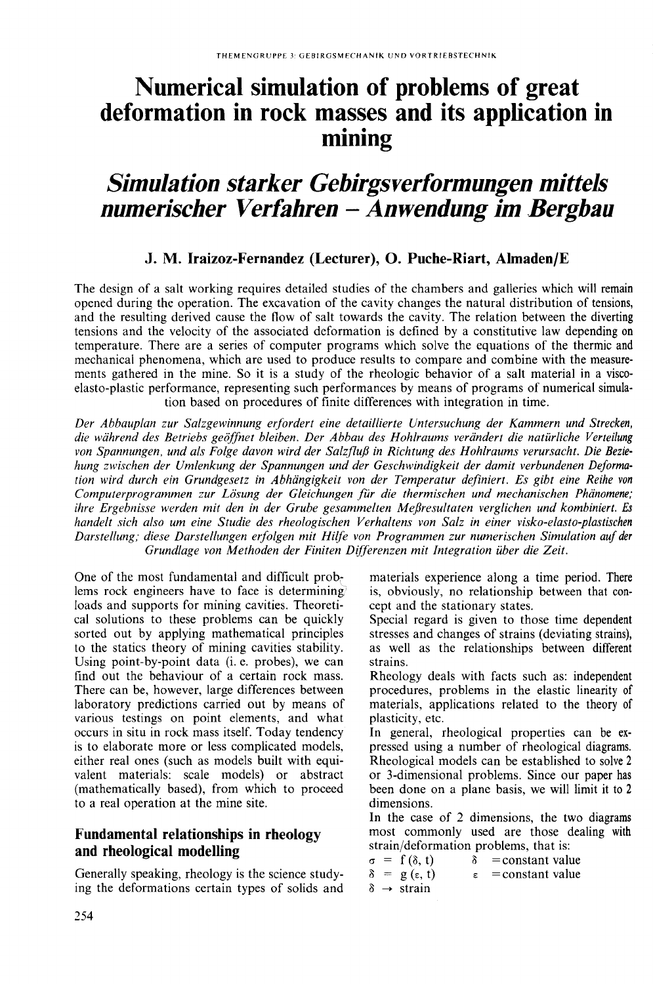# **Nurnerical sirnulation of problerns of great deformation in rock masses and its application in mining**

## *Simulation starker Gebirgsverformungen mittels numerischer Verfahren* **-** *Anwendung im Bergbau*

#### **J. M. Iraizoz-Fernandez (Lecturer), o. Puche-Riart, Almaden/E**

The design of a salt working requires detailed studies of the chambers and galleries which will remain opened during the operation. The excavation of the cavity changes the natural distribution of tensions, and the resulting derived cause the flow of salt towards the cavity. The relation between the diverting tensions and the velocity of the associated deformation is defined by a constitutive law depending on temperature. There are a series of computer pragrams which solve the equations of the thermic and mechanical phenomena, which are used to produce results to compare and combine with the measurements gathered in the mine. So it is a study of the rheologic behavior of a salt material in a viscoelasto-plastic performance, representing such performances by means of pragrams of numerical simulation based on pracedures of finite differences with integration in time.

*Der Abbauplan zur Salzgewinnung erfardert eine detaillierte Untersuchung der Kammern und Strecken, die wahrend des Betriebs geoffnet bleiben. Der Abbau des Hahlraums verandert die natürliche Verteilung van Spannungen, und als Falge davan wird der Salzfluj3 in Richtung des Hahlraums verursacht. Die Beziehung zwischen der Umlenkung der Spannungen und der Geschwindigkeit der damit verbundenen Deformatian wird durch ein Grundgesetz in Abhangigkeit van der Temperatur definiert. Es gibt eine Reihe von Camputerpragrammen zur Losung der Gleichungen für die thermischen und mechanischen Phanamene; ihre Ergebnisse werden mit den in der Grube gesammelten Mej3resultaten verglichen und kambiniert. Es handelt sich alsa um eine Studie des rhealagischen Verhaltens van Salz in einer viska-elasta-plastischen Darstellung; diese Darstellungen erfalgen mit Hilfe van Pragrammen zur numerischen Simulatian auf der Grundlage van Methaden der Finiten Differenzen mit Integratian über die Zeit.*

One of the most fundamental and difficult prob~ lems rock engineers have to face is determining loads and supports for mining cavities. Theoretical solutions to these problems can be quickly sorted out by applying mathematical principles to the statics theory of mining cavities stability. Using point-by-point data (i. e. probes), we can find out the behaviour of a certain rock mass. There can be, however, large differences between laboratory predictions carried out by means of various testings on point elements, and what occurs in situ in rack mass itself. Today tendency is to elaborate more or less complicated models, either real ones (such as models built with equivalent materials: scale models) or abstract (mathematically based), from which to proceed to a real operation at the mine site.

#### **Fundamental relationships in rheology and rheological modelling**

Generally speaking, rheology is the science studying the deformations certain types of solids and

materials experience along a time period. There is, obviously, no relationship between that concept and the stationary states.

Special regard is given to those time dependent stresses and changes of strains (deviating strains), as well as the relationships between different strains.

Rheology deals with facts such as: independent procedures, prablems in the elastic linearity of materials, applications related to the theory of plasticity, etc.

In general, rheological properties can be expressed using a number of rheological diagrams. Rheological models can be established to salve 2 or 3-dimensional prablems. Since our paper has been done on a plane basis, we will limit it to 2 dimensions.

In the case of 2 dimensions, the two diagrams most commonly used are those dealing with strain/deformation problems, that is:

|  | $\sigma = f(\delta, t)$     |               | $\delta$ = constant value |
|--|-----------------------------|---------------|---------------------------|
|  | $\delta = g(\epsilon, t)$   | $\varepsilon$ | $=$ constant value        |
|  | $\delta \rightarrow$ strain |               |                           |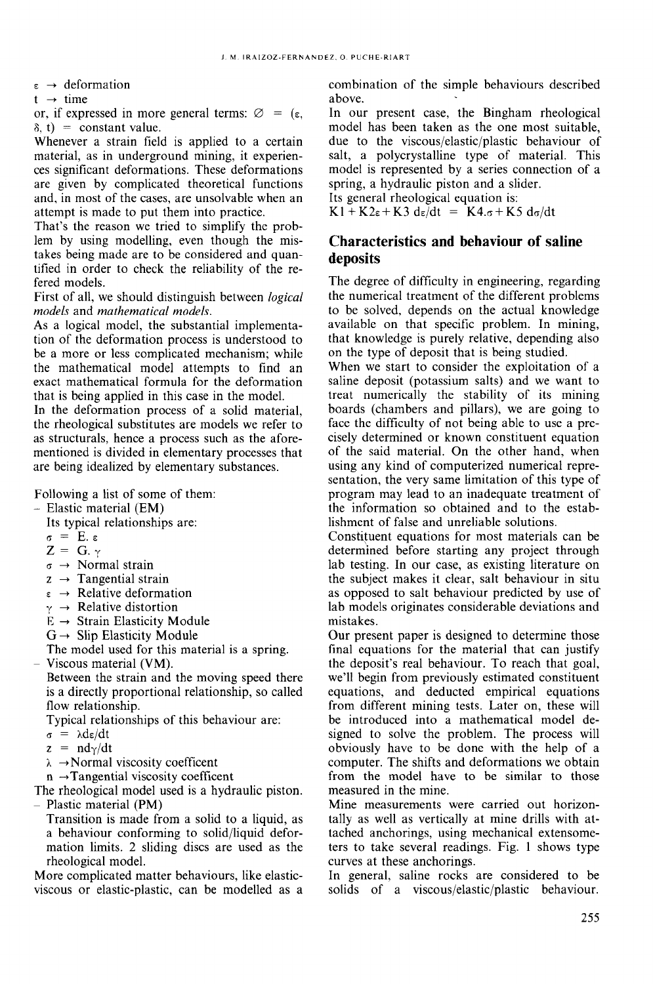$\varepsilon \rightarrow$  deformation

 $t \rightarrow$  time

or, if expressed in more general terms:  $\varnothing = (\varepsilon,$  $\delta$ , t) = constant value.

Whenever a strain field is applied to a certain material, as in underground mining, it experiences significant deformations. These deformations are given by complicated theoretical functions and, in most of the cases, are unsolvable when an attempt is made to put them into practice.

That's the reason we tried to simplify the problem by using modelling, even though the mistakes being made are to be considered and quantified in order to check the reliability of the refered models.

First of all, we should distinguish between *logical models* and *mathematical models.*

As a logical model, the substantial implementation of the deformation process is understood to be a more or less complicated mechanism; while the mathematical model attempts to find an exact mathematical formula for the deformation that is being applied in this case in the model.

In the deformation process of a solid material, the rheological substitutes are models we refer to as structurals, hence a process such as the aforementioned is divided in elementary processes that are being idealized by elementary substances.

Following a list of some of them:

- Elastic material (EM)

- Its typical relationships are:
- $\sigma = E. \epsilon$
- $Z = G \cdot \gamma$
- $\sigma \rightarrow$  Normal strain
- $z \rightarrow$  Tangential strain
- $\varepsilon \rightarrow$  Relative deformation
- $\gamma \rightarrow$  Relative distortion
- $E \rightarrow$  Strain Elasticity Module
- $G \rightarrow$  Slip Elasticity Module

The model used for this material is a spring.

Viscous material (VM).

Between the strain and the moving speed there is a directly proportional relationship, so called flow relationship.

Typical relationships of this behaviour are:

- $\sigma = \lambda d\varepsilon/dt$
- $z = nd_{\gamma}/dt$
- $\lambda \rightarrow$  Normal viscosity coefficent

 $n \rightarrow$ Tangential viscosity coefficent

The rheological model used is a hydraulic piston. - Plastic material (PM)

Transition is made from a solid to a liquid, as a behaviour conforming to solid/liquid deformation limits. 2 sliding discs are used as the rheological model.

More complicated matter behaviours, like elasticviscous or elastic-plastic, can be modelled as a combination of the simple behaviours described aboye.

In our present case, the Bingham rheological model has been taken as the one most suitable, due to the viscous/elastic/plastic behaviour of salt, a polycrystalline type of material. This model is represented by a series connection of a spring, a hydraulic piston and a slider.

Its general rheological equation is:

### $K1 + K2\varepsilon + K3 d\varepsilon/dt = K4.\sigma + K5 d\sigma/dt$

#### **Characteristics and behaviour of saline deposits**

The degree of difficulty in engineering, regarding the numerical treatment of the different problems to be solved, depends on the actual knowledge available on that specific problem. In mining, that knowledge is purely relative, depending also on the type of deposit that is being studied.

When we start to consider the exploitation of a saline deposit (potassium salts) and we want to treat numerically the stability of its mining boards (chambers and pillars), we are going to face the difficulty of not being able to use a precisely determined or known constituent equation of the said material. On the other hand, when using any kind of computerized numerical representation, the very same limitation of this type of program may lead to an inadequate treatment of the information so obtained and to the establishment of false and unreliable solutions.

Constituent equations for most materials can be determined before starting any project through lab testing. In our case, as existing literature on the subject makes it clear, salt behaviour in situ as opposed to salt behaviour predicted by use of lab models originates considerable deviations and mistakes.

Our present paper is designed to determine those final equations for the material that can justify the deposit's real behaviour. To reach that goal, we'l! begin from previously estimated constituent equations, and deducted empirical equations from different mining tests. Later on, these will be introduced into a mathematical model designed to solve the problem. The process will obviously have to be done with the help of a computer. The shifts and deformations we obtain from the model have to be similar to those measured in the mine.

Mine measurements were carried out horizontally as well as vertically at mine drills with attached anchorings, using mechanical extensometers to take several readings. Fig. 1 shows type curves at these anchorings.

In general, saline rocks are considered to be solids of a viscous/elastic/plastic behaviour.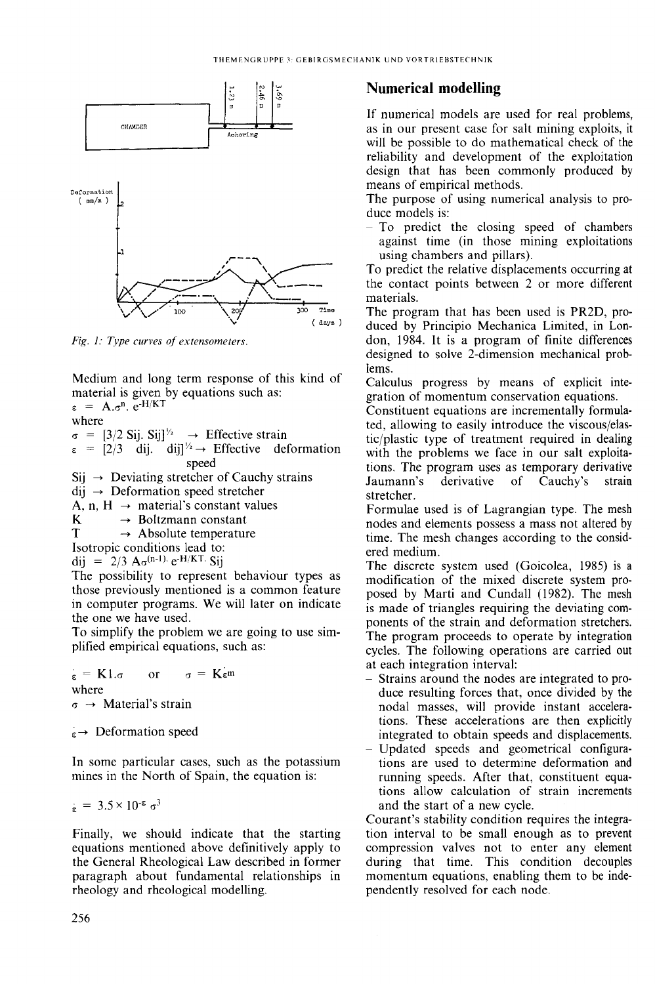

Fig. 1: Type curves of extensometers.

Medium and long term response of this kind of material is given by equations such as:

 $\varepsilon = A \cdot \sigma^n$ ,  $e^{-H/KT}$ where

 $\sigma = [3/2 \text{ Sij. Sij}]^{1/2} \rightarrow$  Effective strain

 $\varepsilon = [2/3 \text{ dij.} \text{ dij}]^{1/2} \rightarrow \text{Effective deformation}$ speed

 $\text{Sij} \rightarrow$  Deviating stretcher of Cauchy strains

 $\text{d}$ ij  $\rightarrow$  Deformation speed stretcher

A, n, H  $\rightarrow$  material's constant values

K  $\rightarrow$  Boltzmann constant

T  $\rightarrow$  Absolute temperature

Isotropic conditions lead to:

dij = 2/3  $A_{\sigma}$ (n-1) e-H/KT. Sij

The possibility to represent behaviour types as those previously mentioned is a common feature in computer programs. We will later on indicate the one we have used.

To simplify the problem we are going to use simplified empirical equations, such as:

 $\sigma = \mathbf{K} \varepsilon \mathbf{m}$  $\epsilon = \mathbf{K}1.\sigma$  $\alpha$ r where  $\sigma \rightarrow$  Material's strain

 $\epsilon \rightarrow$  Deformation speed

In some particular cases, such as the potassium mines in the North of Spain, the equation is:

$$
\xi = 3.5 \times 10^{-5} \sigma^3
$$

Finally, we should indicate that the starting equations mentioned above definitively apply to the General Rheological Law described in former paragraph about fundamental relationships in rheology and rheological modelling.

#### **Numerical modelling**

If numerical models are used for real problems, as in our present case for salt mining exploits, it will be possible to do mathematical check of the reliability and development of the exploitation design that has been commonly produced by means of empirical methods.

The purpose of using numerical analysis to produce models is:

- To predict the closing speed of chambers against time (in those mining exploitations) using chambers and pillars).

To predict the relative displacements occurring at the contact points between 2 or more different materials.

The program that has been used is PR2D, produced by Principio Mechanica Limited, in London, 1984. It is a program of finite differences designed to solve 2-dimension mechanical problems.

Calculus progress by means of explicit integration of momentum conservation equations.

Constituent equations are incrementally formulated, allowing to easily introduce the viscous/elastic/plastic type of treatment required in dealing with the problems we face in our salt exploitations. The program uses as temporary derivative derivative Jaumann's of Cauchy's strain stretcher.

Formulae used is of Lagrangian type. The mesh nodes and elements possess a mass not altered by time. The mesh changes according to the considered medium.

The discrete system used (Goicolea, 1985) is a modification of the mixed discrete system proposed by Marti and Cundall (1982). The mesh is made of triangles requiring the deviating components of the strain and deformation stretchers. The program proceeds to operate by integration cycles. The following operations are carried out at each integration interval:

- Strains around the nodes are integrated to produce resulting forces that, once divided by the nodal masses, will provide instant accelerations. These accelerations are then explicitly integrated to obtain speeds and displacements.
- Updated speeds and geometrical configurations are used to determine deformation and running speeds. After that, constituent equations allow calculation of strain increments and the start of a new cycle.

Courant's stability condition requires the integration interval to be small enough as to prevent compression valves not to enter any element during that time. This condition decouples momentum equations, enabling them to be independently resolved for each node.